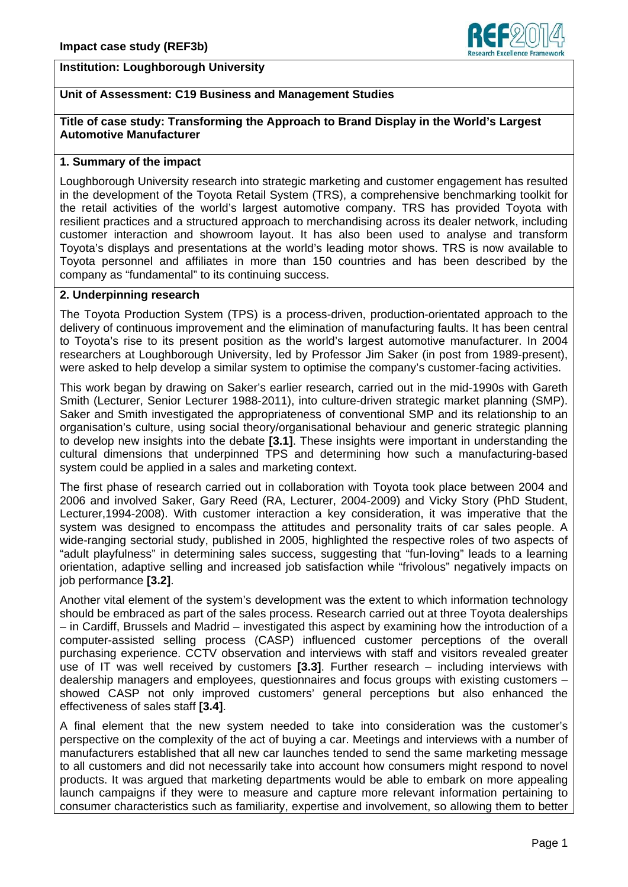# **Institution: Loughborough University**



# **Unit of Assessment: C19 Business and Management Studies**

# **Title of case study: Transforming the Approach to Brand Display in the World's Largest Automotive Manufacturer**

#### **1. Summary of the impact**

Loughborough University research into strategic marketing and customer engagement has resulted in the development of the Toyota Retail System (TRS), a comprehensive benchmarking toolkit for the retail activities of the world's largest automotive company. TRS has provided Toyota with resilient practices and a structured approach to merchandising across its dealer network, including customer interaction and showroom layout. It has also been used to analyse and transform Toyota's displays and presentations at the world's leading motor shows. TRS is now available to Toyota personnel and affiliates in more than 150 countries and has been described by the company as "fundamental" to its continuing success.

## **2. Underpinning research**

The Toyota Production System (TPS) is a process-driven, production-orientated approach to the delivery of continuous improvement and the elimination of manufacturing faults. It has been central to Toyota's rise to its present position as the world's largest automotive manufacturer. In 2004 researchers at Loughborough University, led by Professor Jim Saker (in post from 1989-present), were asked to help develop a similar system to optimise the company's customer-facing activities.

This work began by drawing on Saker's earlier research, carried out in the mid-1990s with Gareth Smith (Lecturer, Senior Lecturer 1988-2011), into culture-driven strategic market planning (SMP). Saker and Smith investigated the appropriateness of conventional SMP and its relationship to an organisation's culture, using social theory/organisational behaviour and generic strategic planning to develop new insights into the debate **[3.1]**. These insights were important in understanding the cultural dimensions that underpinned TPS and determining how such a manufacturing-based system could be applied in a sales and marketing context.

The first phase of research carried out in collaboration with Toyota took place between 2004 and 2006 and involved Saker, Gary Reed (RA, Lecturer, 2004-2009) and Vicky Story (PhD Student, Lecturer,1994-2008). With customer interaction a key consideration, it was imperative that the system was designed to encompass the attitudes and personality traits of car sales people. A wide-ranging sectorial study, published in 2005, highlighted the respective roles of two aspects of "adult playfulness" in determining sales success, suggesting that "fun-loving" leads to a learning orientation, adaptive selling and increased job satisfaction while "frivolous" negatively impacts on job performance **[3.2]**.

Another vital element of the system's development was the extent to which information technology should be embraced as part of the sales process. Research carried out at three Toyota dealerships – in Cardiff, Brussels and Madrid – investigated this aspect by examining how the introduction of a computer-assisted selling process (CASP) influenced customer perceptions of the overall purchasing experience. CCTV observation and interviews with staff and visitors revealed greater use of IT was well received by customers **[3.3]**. Further research – including interviews with dealership managers and employees, questionnaires and focus groups with existing customers – showed CASP not only improved customers' general perceptions but also enhanced the effectiveness of sales staff **[3.4]**.

A final element that the new system needed to take into consideration was the customer's perspective on the complexity of the act of buying a car. Meetings and interviews with a number of manufacturers established that all new car launches tended to send the same marketing message to all customers and did not necessarily take into account how consumers might respond to novel products. It was argued that marketing departments would be able to embark on more appealing launch campaigns if they were to measure and capture more relevant information pertaining to consumer characteristics such as familiarity, expertise and involvement, so allowing them to better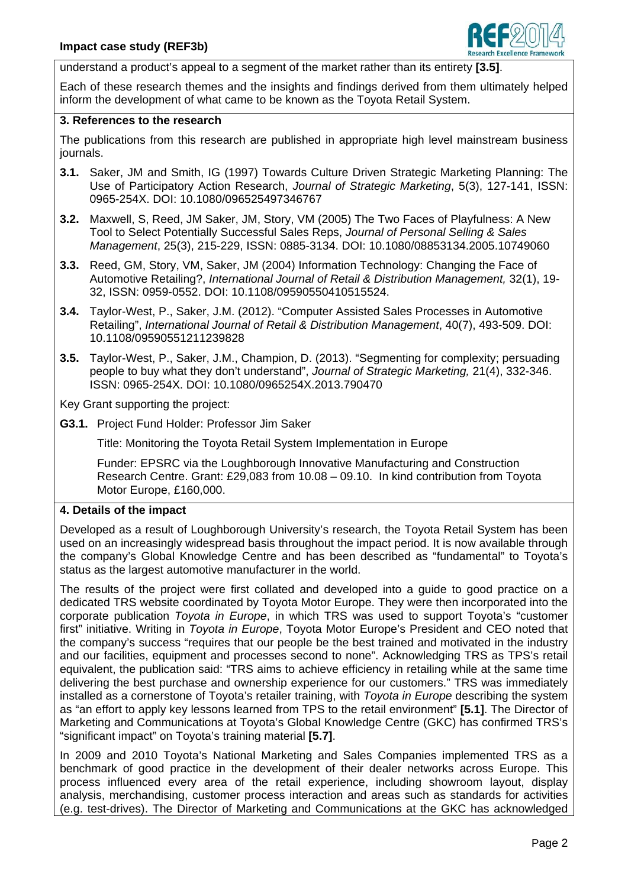

understand a product's appeal to a segment of the market rather than its entirety **[3.5]**.

Each of these research themes and the insights and findings derived from them ultimately helped inform the development of what came to be known as the Toyota Retail System.

#### **3. References to the research**

The publications from this research are published in appropriate high level mainstream business journals.

- **3.1.** Saker, JM and Smith, IG (1997) Towards Culture Driven Strategic Marketing Planning: The Use of Participatory Action Research, *Journal of Strategic Marketing*, 5(3), 127-141, ISSN: 0965-254X. DOI: 10.1080/096525497346767
- **3.2.** Maxwell, S, Reed, JM Saker, JM, Story, VM (2005) The Two Faces of Playfulness: A New Tool to Select Potentially Successful Sales Reps, *Journal of Personal Selling & Sales Management*, 25(3), 215-229, ISSN: 0885-3134. DOI: 10.1080/08853134.2005.10749060
- **3.3.** Reed, GM, Story, VM, Saker, JM (2004) Information Technology: Changing the Face of Automotive Retailing?, *International Journal of Retail & Distribution Management,* 32(1), 19- 32, ISSN: 0959-0552. DOI: 10.1108/09590550410515524.
- **3.4.** Taylor-West, P., Saker, J.M. (2012). "Computer Assisted Sales Processes in Automotive Retailing", *International Journal of Retail & Distribution Management*, 40(7), 493-509. DOI: 10.1108/09590551211239828
- **3.5.** Taylor-West, P., Saker, J.M., Champion, D. (2013). "Segmenting for complexity; persuading people to buy what they don't understand", *Journal of Strategic Marketing,* 21(4), 332-346. ISSN: 0965-254X. DOI: 10.1080/0965254X.2013.790470

Key Grant supporting the project:

**G3.1.** Project Fund Holder: Professor Jim Saker

Title: Monitoring the Toyota Retail System Implementation in Europe

 Funder: EPSRC via the Loughborough Innovative Manufacturing and Construction Research Centre. Grant: £29,083 from 10.08 – 09.10. In kind contribution from Toyota Motor Europe, £160,000.

# **4. Details of the impact**

Developed as a result of Loughborough University's research, the Toyota Retail System has been used on an increasingly widespread basis throughout the impact period. It is now available through the company's Global Knowledge Centre and has been described as "fundamental" to Toyota's status as the largest automotive manufacturer in the world.

The results of the project were first collated and developed into a guide to good practice on a dedicated TRS website coordinated by Toyota Motor Europe. They were then incorporated into the corporate publication *Toyota in Europe*, in which TRS was used to support Toyota's "customer first" initiative. Writing in *Toyota in Europe*, Toyota Motor Europe's President and CEO noted that the company's success "requires that our people be the best trained and motivated in the industry and our facilities, equipment and processes second to none". Acknowledging TRS as TPS's retail equivalent, the publication said: "TRS aims to achieve efficiency in retailing while at the same time delivering the best purchase and ownership experience for our customers." TRS was immediately installed as a cornerstone of Toyota's retailer training, with *Toyota in Europe* describing the system as "an effort to apply key lessons learned from TPS to the retail environment" **[5.1]**. The Director of Marketing and Communications at Toyota's Global Knowledge Centre (GKC) has confirmed TRS's "significant impact" on Toyota's training material **[5.7]**.

In 2009 and 2010 Toyota's National Marketing and Sales Companies implemented TRS as a benchmark of good practice in the development of their dealer networks across Europe. This process influenced every area of the retail experience, including showroom layout, display analysis, merchandising, customer process interaction and areas such as standards for activities (e.g. test-drives). The Director of Marketing and Communications at the GKC has acknowledged